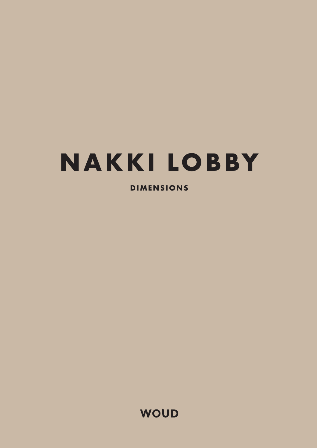# **NAKKI LOBBY**

**DIMENSIONS**

**WOUD**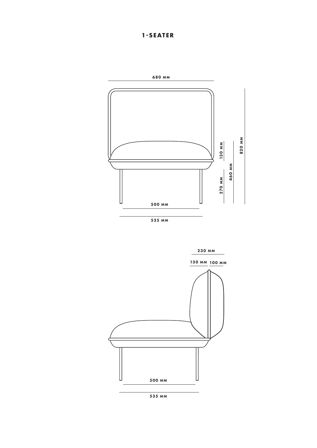### **1-SEATER**



535 MM



535 MM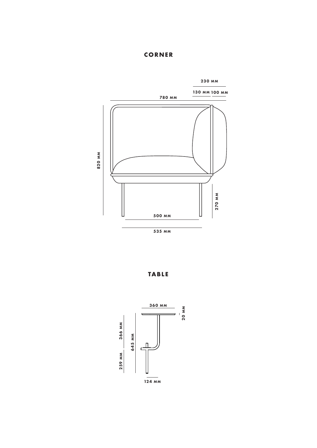#### **CORNER**



**TABLE**

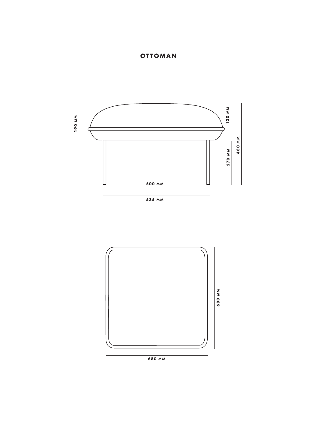### **OTTOMAN**



535 MM



680 MM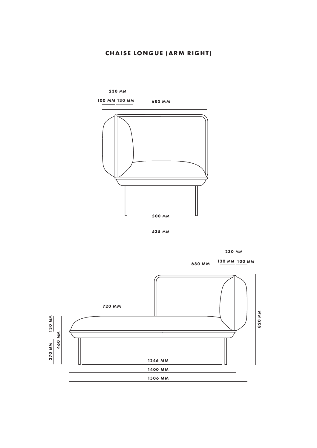### **CHAISE LONGUE (ARM RIGHT)**